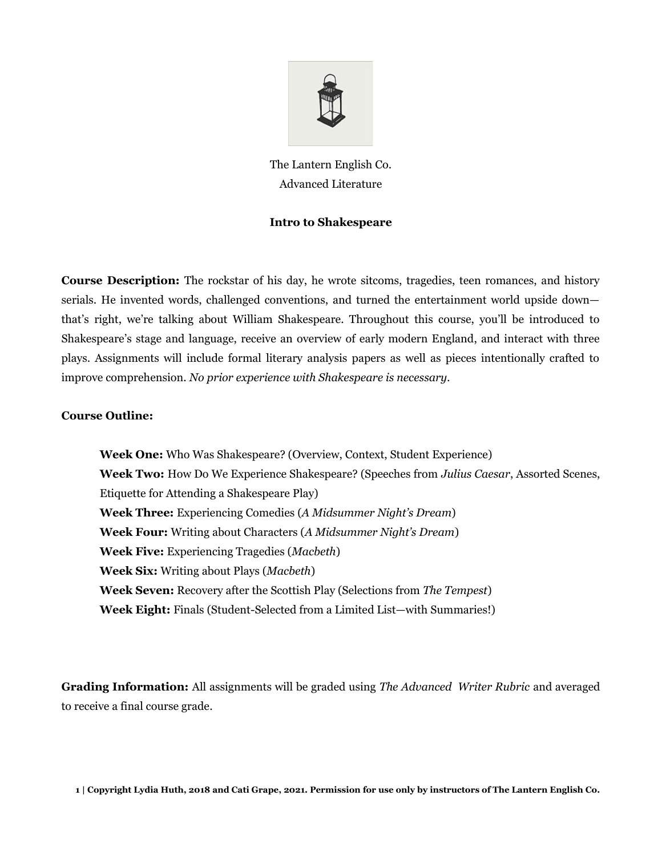

The Lantern English Co. Advanced Literature

# **Intro to Shakespeare**

**Course Description:** The rockstar of his day, he wrote sitcoms, tragedies, teen romances, and history serials. He invented words, challenged conventions, and turned the entertainment world upside down that's right, we're talking about William Shakespeare. Throughout this course, you'll be introduced to Shakespeare's stage and language, receive an overview of early modern England, and interact with three plays. Assignments will include formal literary analysis papers as well as pieces intentionally crafted to improve comprehension. *No prior experience with Shakespeare is necessary.*

## **Course Outline:**

**Week One:** Who Was Shakespeare? (Overview, Context, Student Experience) **Week Two:** How Do We Experience Shakespeare? (Speeches from *Julius Caesar*, Assorted Scenes, Etiquette for Attending a Shakespeare Play) **Week Three:** Experiencing Comedies (*A Midsummer Night's Dream*) **Week Four:** Writing about Characters (*A Midsummer Night's Dream*) **Week Five:** Experiencing Tragedies (*Macbeth*) **Week Six:** Writing about Plays (*Macbeth*) **Week Seven:** Recovery after the Scottish Play (Selections from *The Tempest*) **Week Eight:** Finals (Student-Selected from a Limited List—with Summaries!)

**Grading Information:** All assignments will be graded using *The Advanced Writer Rubric* and averaged to receive a final course grade.

**1 | Copyright Lydia Huth, 2018 and Cati Grape, 2021. Permission for use only by instructors of The Lantern English Co.**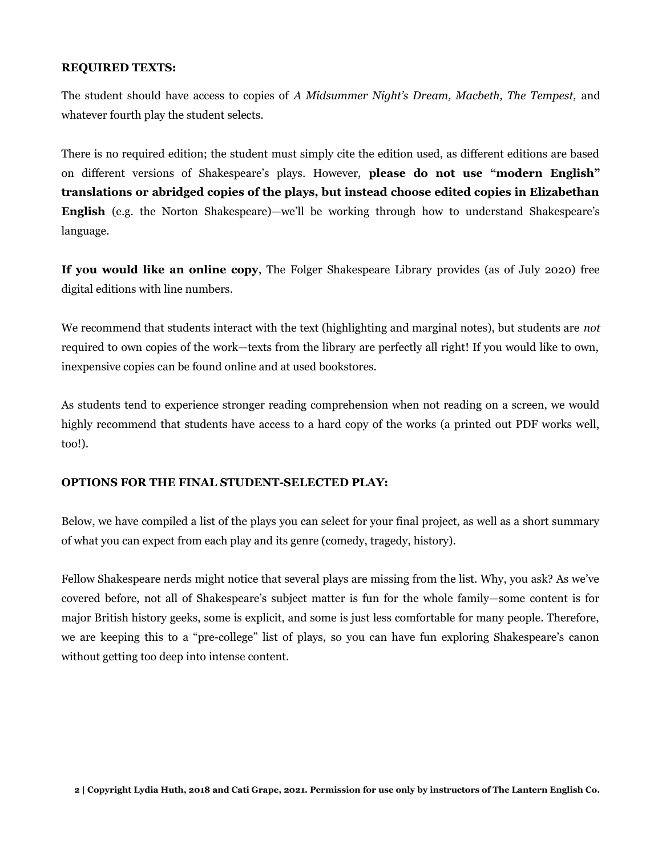#### **REQUIRED TEXTS:**

The student should have access to copies of *A Midsummer Night's Dream, Macbeth, The Tempest,* and whatever fourth play the student selects.

There is no required edition; the student must simply cite the edition used, as different editions are based on different versions of Shakespeare's plays. However, **please do not use "modern English" translations or abridged copies of the plays, but instead choose edited copies in Elizabethan English** (e.g. the Norton Shakespeare)—we'll be working through how to understand Shakespeare's language.

**If you would like an online copy**, The Folger Shakespeare Library provides (as of July 2020) free digital editions with line numbers.

We recommend that students interact with the text (highlighting and marginal notes), but students are *not* required to own copies of the work—texts from the library are perfectly all right! If you would like to own, inexpensive copies can be found online and at used bookstores.

As students tend to experience stronger reading comprehension when not reading on a screen, we would highly recommend that students have access to a hard copy of the works (a printed out PDF works well, too!).

## **OPTIONS FOR THE FINAL STUDENT-SELECTED PLAY:**

Below, we have compiled a list of the plays you can select for your final project, as well as a short summary of what you can expect from each play and its genre (comedy, tragedy, history).

Fellow Shakespeare nerds might notice that several plays are missing from the list. Why, you ask? As we've covered before, not all of Shakespeare's subject matter is fun for the whole family—some content is for major British history geeks, some is explicit, and some is just less comfortable for many people. Therefore, we are keeping this to a "pre-college" list of plays, so you can have fun exploring Shakespeare's canon without getting too deep into intense content.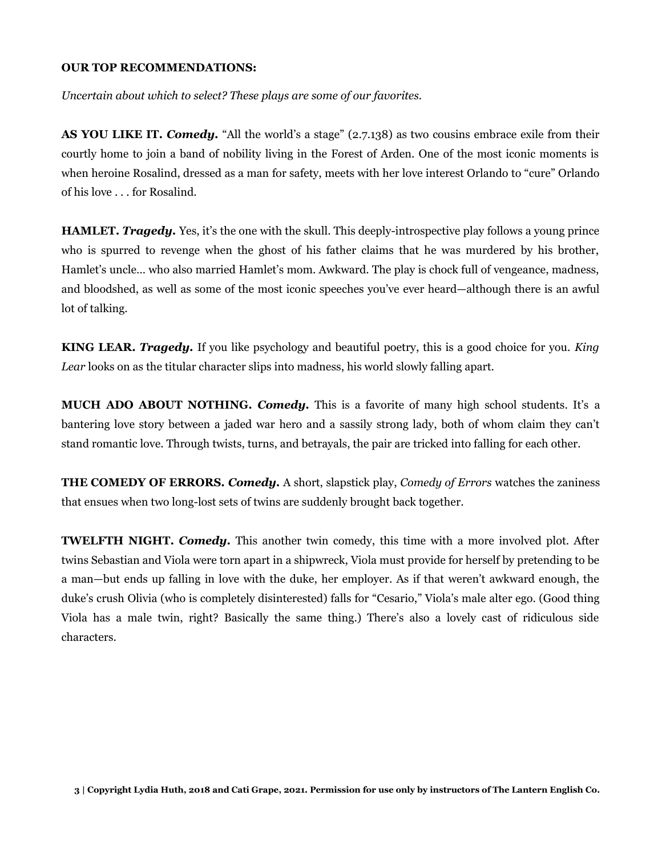## **OUR TOP RECOMMENDATIONS:**

*Uncertain about which to select? These plays are some of our favorites.*

**AS YOU LIKE IT.** *Comedy.* "All the world's a stage" (2.7.138) as two cousins embrace exile from their courtly home to join a band of nobility living in the Forest of Arden. One of the most iconic moments is when heroine Rosalind, dressed as a man for safety, meets with her love interest Orlando to "cure" Orlando of his love . . . for Rosalind.

**HAMLET.** *Tragedy.* Yes, it's the one with the skull. This deeply-introspective play follows a young prince who is spurred to revenge when the ghost of his father claims that he was murdered by his brother, Hamlet's uncle… who also married Hamlet's mom. Awkward. The play is chock full of vengeance, madness, and bloodshed, as well as some of the most iconic speeches you've ever heard—although there is an awful lot of talking.

**KING LEAR.** *Tragedy.* If you like psychology and beautiful poetry, this is a good choice for you. *King Lear* looks on as the titular character slips into madness, his world slowly falling apart.

**MUCH ADO ABOUT NOTHING.** *Comedy.* This is a favorite of many high school students. It's a bantering love story between a jaded war hero and a sassily strong lady, both of whom claim they can't stand romantic love. Through twists, turns, and betrayals, the pair are tricked into falling for each other.

**THE COMEDY OF ERRORS.** *Comedy.* A short, slapstick play, *Comedy of Errors* watches the zaniness that ensues when two long-lost sets of twins are suddenly brought back together.

**TWELFTH NIGHT.** *Comedy.* This another twin comedy, this time with a more involved plot. After twins Sebastian and Viola were torn apart in a shipwreck, Viola must provide for herself by pretending to be a man—but ends up falling in love with the duke, her employer. As if that weren't awkward enough, the duke's crush Olivia (who is completely disinterested) falls for "Cesario," Viola's male alter ego. (Good thing Viola has a male twin, right? Basically the same thing.) There's also a lovely cast of ridiculous side characters.